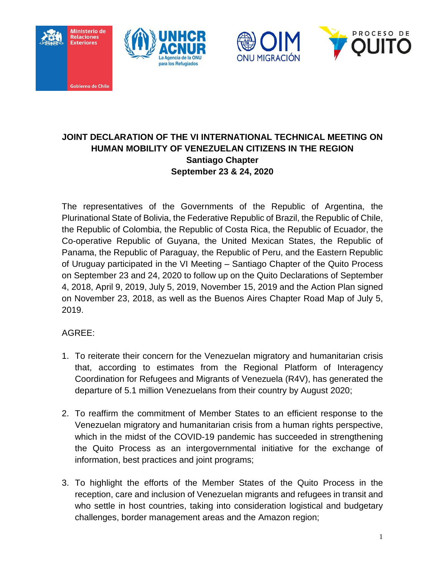







## **JOINT DECLARATION OF THE VI INTERNATIONAL TECHNICAL MEETING ON HUMAN MOBILITY OF VENEZUELAN CITIZENS IN THE REGION Santiago Chapter September 23 & 24, 2020**

The representatives of the Governments of the Republic of Argentina, the Plurinational State of Bolivia, the Federative Republic of Brazil, the Republic of Chile, the Republic of Colombia, the Republic of Costa Rica, the Republic of Ecuador, the Co-operative Republic of Guyana, the United Mexican States, the Republic of Panama, the Republic of Paraguay, the Republic of Peru, and the Eastern Republic of Uruguay participated in the VI Meeting – Santiago Chapter of the Quito Process on September 23 and 24, 2020 to follow up on the Quito Declarations of September 4, 2018, April 9, 2019, July 5, 2019, November 15, 2019 and the Action Plan signed on November 23, 2018, as well as the Buenos Aires Chapter Road Map of July 5, 2019.

## AGREE:

- 1. To reiterate their concern for the Venezuelan migratory and humanitarian crisis that, according to estimates from the Regional Platform of Interagency Coordination for Refugees and Migrants of Venezuela (R4V), has generated the departure of 5.1 million Venezuelans from their country by August 2020;
- 2. To reaffirm the commitment of Member States to an efficient response to the Venezuelan migratory and humanitarian crisis from a human rights perspective, which in the midst of the COVID-19 pandemic has succeeded in strengthening the Quito Process as an intergovernmental initiative for the exchange of information, best practices and joint programs;
- 3. To highlight the efforts of the Member States of the Quito Process in the reception, care and inclusion of Venezuelan migrants and refugees in transit and who settle in host countries, taking into consideration logistical and budgetary challenges, border management areas and the Amazon region;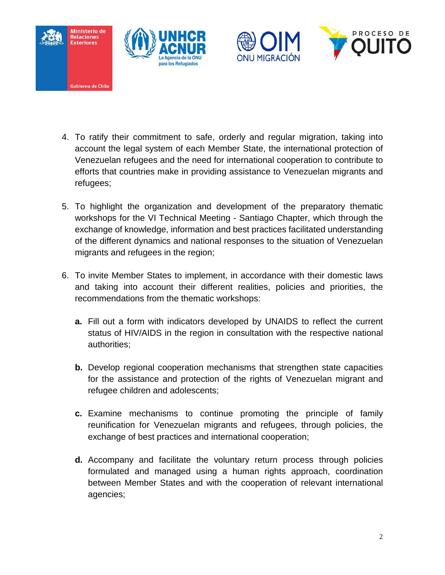





- 4. To ratify their commitment to safe, orderly and regular migration, taking into account the legal system of each Member State, the international protection of Venezuelan refugees and the need for international cooperation to contribute to efforts that countries make in providing assistance to Venezuelan migrants and refugees;
- 5. To highlight the organization and development of the preparatory thematic workshops for the VI Technical Meeting - Santiago Chapter, which through the exchange of knowledge, information and best practices facilitated understanding of the different dynamics and national responses to the situation of Venezuelan migrants and refugees in the region;
- 6. To invite Member States to implement, in accordance with their domestic laws and taking into account their different realities, policies and priorities, the recommendations from the thematic workshops:
	- **a.** Fill out a form with indicators developed by UNAIDS to reflect the current status of HIV/AIDS in the region in consultation with the respective national authorities;
	- **b.** Develop regional cooperation mechanisms that strengthen state capacities for the assistance and protection of the rights of Venezuelan migrant and refugee children and adolescents;
	- **c.** Examine mechanisms to continue promoting the principle of family reunification for Venezuelan migrants and refugees, through policies, the exchange of best practices and international cooperation;
	- **d.** Accompany and facilitate the voluntary return process through policies formulated and managed using a human rights approach, coordination between Member States and with the cooperation of relevant international agencies;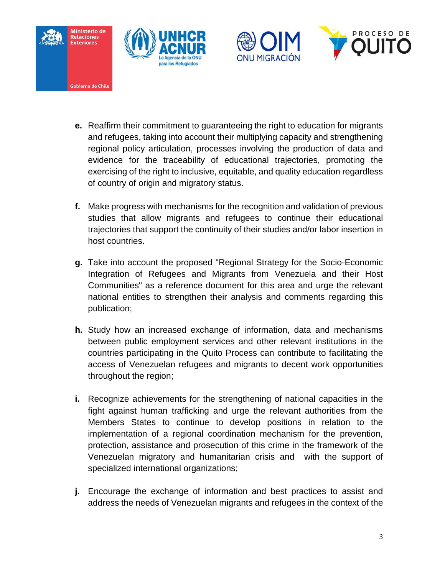







- **e.** Reaffirm their commitment to guaranteeing the right to education for migrants and refugees, taking into account their multiplying capacity and strengthening regional policy articulation, processes involving the production of data and evidence for the traceability of educational trajectories, promoting the exercising of the right to inclusive, equitable, and quality education regardless of country of origin and migratory status.
- **f.** Make progress with mechanisms for the recognition and validation of previous studies that allow migrants and refugees to continue their educational trajectories that support the continuity of their studies and/or labor insertion in host countries.
- **g.** Take into account the proposed "Regional Strategy for the Socio-Economic Integration of Refugees and Migrants from Venezuela and their Host Communities" as a reference document for this area and urge the relevant national entities to strengthen their analysis and comments regarding this publication;
- **h.** Study how an increased exchange of information, data and mechanisms between public employment services and other relevant institutions in the countries participating in the Quito Process can contribute to facilitating the access of Venezuelan refugees and migrants to decent work opportunities throughout the region;
- **i.** Recognize achievements for the strengthening of national capacities in the fight against human trafficking and urge the relevant authorities from the Members States to continue to develop positions in relation to the implementation of a regional coordination mechanism for the prevention, protection, assistance and prosecution of this crime in the framework of the Venezuelan migratory and humanitarian crisis and with the support of specialized international organizations;
- **j.** Encourage the exchange of information and best practices to assist and address the needs of Venezuelan migrants and refugees in the context of the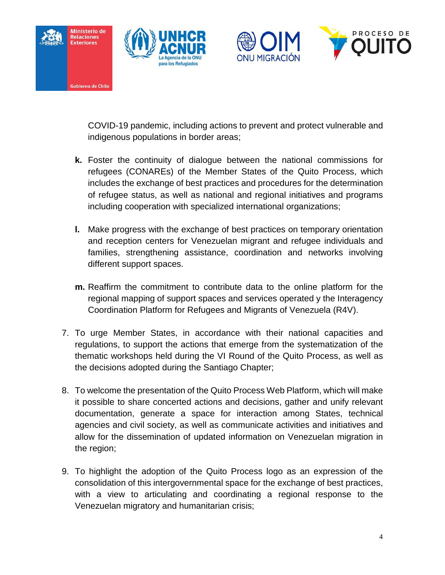







COVID-19 pandemic, including actions to prevent and protect vulnerable and indigenous populations in border areas;

- **k.** Foster the continuity of dialogue between the national commissions for refugees (CONAREs) of the Member States of the Quito Process, which includes the exchange of best practices and procedures for the determination of refugee status, as well as national and regional initiatives and programs including cooperation with specialized international organizations;
- **l.** Make progress with the exchange of best practices on temporary orientation and reception centers for Venezuelan migrant and refugee individuals and families, strengthening assistance, coordination and networks involving different support spaces.
- **m.** Reaffirm the commitment to contribute data to the online platform for the regional mapping of support spaces and services operated y the Interagency Coordination Platform for Refugees and Migrants of Venezuela (R4V).
- 7. To urge Member States, in accordance with their national capacities and regulations, to support the actions that emerge from the systematization of the thematic workshops held during the VI Round of the Quito Process, as well as the decisions adopted during the Santiago Chapter;
- 8. To welcome the presentation of the Quito Process Web Platform, which will make it possible to share concerted actions and decisions, gather and unify relevant documentation, generate a space for interaction among States, technical agencies and civil society, as well as communicate activities and initiatives and allow for the dissemination of updated information on Venezuelan migration in the region;
- 9. To highlight the adoption of the Quito Process logo as an expression of the consolidation of this intergovernmental space for the exchange of best practices, with a view to articulating and coordinating a regional response to the Venezuelan migratory and humanitarian crisis;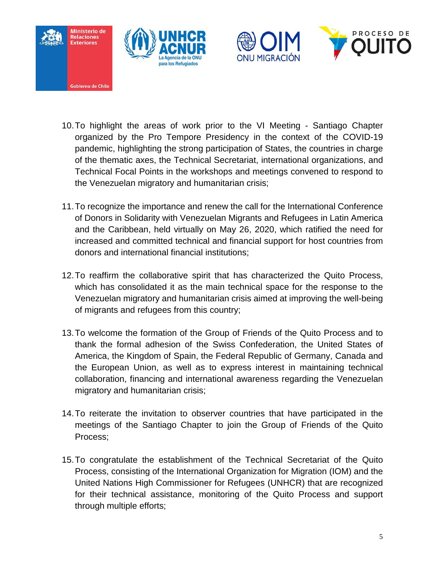





- 10.To highlight the areas of work prior to the VI Meeting Santiago Chapter organized by the Pro Tempore Presidency in the context of the COVID-19 pandemic, highlighting the strong participation of States, the countries in charge of the thematic axes, the Technical Secretariat, international organizations, and Technical Focal Points in the workshops and meetings convened to respond to the Venezuelan migratory and humanitarian crisis;
- 11.To recognize the importance and renew the call for the International Conference of Donors in Solidarity with Venezuelan Migrants and Refugees in Latin America and the Caribbean, held virtually on May 26, 2020, which ratified the need for increased and committed technical and financial support for host countries from donors and international financial institutions;
- 12.To reaffirm the collaborative spirit that has characterized the Quito Process, which has consolidated it as the main technical space for the response to the Venezuelan migratory and humanitarian crisis aimed at improving the well-being of migrants and refugees from this country;
- 13.To welcome the formation of the Group of Friends of the Quito Process and to thank the formal adhesion of the Swiss Confederation, the United States of America, the Kingdom of Spain, the Federal Republic of Germany, Canada and the European Union, as well as to express interest in maintaining technical collaboration, financing and international awareness regarding the Venezuelan migratory and humanitarian crisis;
- 14.To reiterate the invitation to observer countries that have participated in the meetings of the Santiago Chapter to join the Group of Friends of the Quito Process;
- 15.To congratulate the establishment of the Technical Secretariat of the Quito Process, consisting of the International Organization for Migration (IOM) and the United Nations High Commissioner for Refugees (UNHCR) that are recognized for their technical assistance, monitoring of the Quito Process and support through multiple efforts;